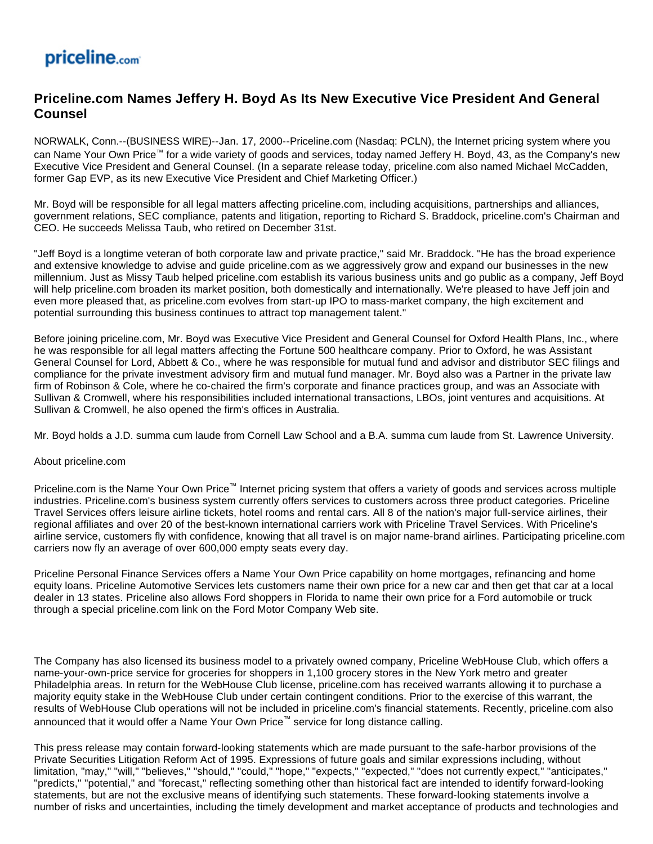## priceline.com

## **Priceline.com Names Jeffery H. Boyd As Its New Executive Vice President And General Counsel**

NORWALK, Conn.--(BUSINESS WIRE)--Jan. 17, 2000--Priceline.com (Nasdaq: PCLN), the Internet pricing system where you can Name Your Own Price™ for a wide variety of goods and services, today named Jeffery H. Boyd, 43, as the Company's new Executive Vice President and General Counsel. (In a separate release today, priceline.com also named Michael McCadden, former Gap EVP, as its new Executive Vice President and Chief Marketing Officer.)

Mr. Boyd will be responsible for all legal matters affecting priceline.com, including acquisitions, partnerships and alliances, government relations, SEC compliance, patents and litigation, reporting to Richard S. Braddock, priceline.com's Chairman and CEO. He succeeds Melissa Taub, who retired on December 31st.

"Jeff Boyd is a longtime veteran of both corporate law and private practice," said Mr. Braddock. "He has the broad experience and extensive knowledge to advise and guide priceline.com as we aggressively grow and expand our businesses in the new millennium. Just as Missy Taub helped priceline.com establish its various business units and go public as a company, Jeff Boyd will help priceline.com broaden its market position, both domestically and internationally. We're pleased to have Jeff join and even more pleased that, as priceline.com evolves from start-up IPO to mass-market company, the high excitement and potential surrounding this business continues to attract top management talent."

Before joining priceline.com, Mr. Boyd was Executive Vice President and General Counsel for Oxford Health Plans, Inc., where he was responsible for all legal matters affecting the Fortune 500 healthcare company. Prior to Oxford, he was Assistant General Counsel for Lord, Abbett & Co., where he was responsible for mutual fund and advisor and distributor SEC filings and compliance for the private investment advisory firm and mutual fund manager. Mr. Boyd also was a Partner in the private law firm of Robinson & Cole, where he co-chaired the firm's corporate and finance practices group, and was an Associate with Sullivan & Cromwell, where his responsibilities included international transactions, LBOs, joint ventures and acquisitions. At Sullivan & Cromwell, he also opened the firm's offices in Australia.

Mr. Boyd holds a J.D. summa cum laude from Cornell Law School and a B.A. summa cum laude from St. Lawrence University.

## About priceline.com

Priceline.com is the Name Your Own Price™ Internet pricing system that offers a variety of goods and services across multiple industries. Priceline.com's business system currently offers services to customers across three product categories. Priceline Travel Services offers leisure airline tickets, hotel rooms and rental cars. All 8 of the nation's major full-service airlines, their regional affiliates and over 20 of the best-known international carriers work with Priceline Travel Services. With Priceline's airline service, customers fly with confidence, knowing that all travel is on major name-brand airlines. Participating priceline.com carriers now fly an average of over 600,000 empty seats every day.

Priceline Personal Finance Services offers a Name Your Own Price capability on home mortgages, refinancing and home equity loans. Priceline Automotive Services lets customers name their own price for a new car and then get that car at a local dealer in 13 states. Priceline also allows Ford shoppers in Florida to name their own price for a Ford automobile or truck through a special priceline.com link on the Ford Motor Company Web site.

The Company has also licensed its business model to a privately owned company, Priceline WebHouse Club, which offers a name-your-own-price service for groceries for shoppers in 1,100 grocery stores in the New York metro and greater Philadelphia areas. In return for the WebHouse Club license, priceline.com has received warrants allowing it to purchase a majority equity stake in the WebHouse Club under certain contingent conditions. Prior to the exercise of this warrant, the results of WebHouse Club operations will not be included in priceline.com's financial statements. Recently, priceline.com also announced that it would offer a Name Your Own Price™ service for long distance calling.

This press release may contain forward-looking statements which are made pursuant to the safe-harbor provisions of the Private Securities Litigation Reform Act of 1995. Expressions of future goals and similar expressions including, without limitation, "may," "will," "believes," "should," "could," "hope," "expects," "expected," "does not currently expect," "anticipates," "predicts," "potential," and "forecast," reflecting something other than historical fact are intended to identify forward-looking statements, but are not the exclusive means of identifying such statements. These forward-looking statements involve a number of risks and uncertainties, including the timely development and market acceptance of products and technologies and